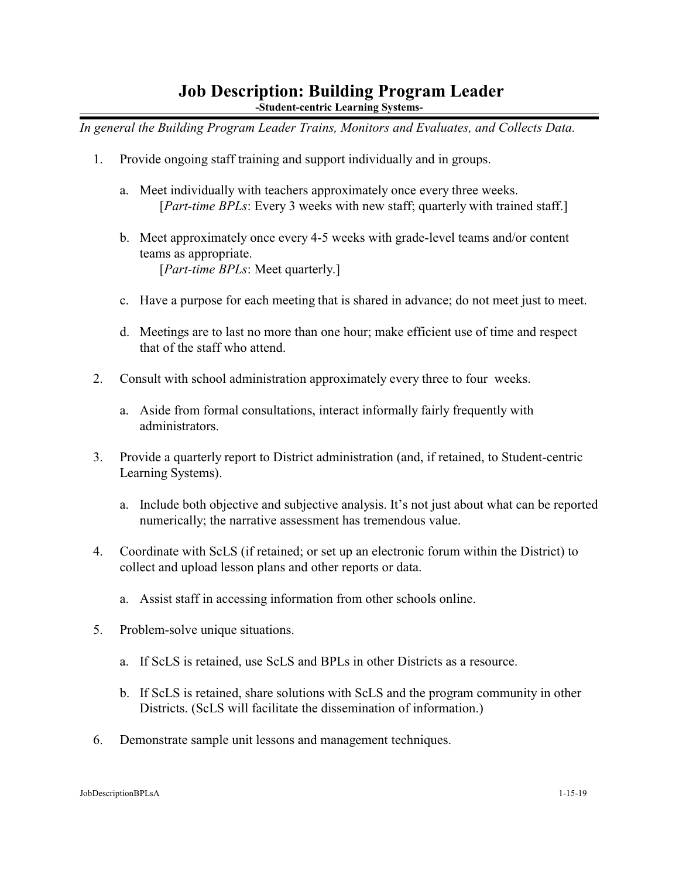## **Job Description: Building Program Leader**

**-Student-centric Learning Systems-**

*In general the Building Program Leader Trains, Monitors and Evaluates, and Collects Data.*

- 1. Provide ongoing staff training and support individually and in groups.
	- a. Meet individually with teachers approximately once every three weeks. [*Part-time BPLs*: Every 3 weeks with new staff; quarterly with trained staff.]
	- b. Meet approximately once every 4-5 weeks with grade-level teams and/or content teams as appropriate. [*Part-time BPLs*: Meet quarterly.]
	- c. Have a purpose for each meeting that is shared in advance; do not meet just to meet.
	- d. Meetings are to last no more than one hour; make efficient use of time and respect that of the staff who attend.
- 2. Consult with school administration approximately every three to four weeks.
	- a. Aside from formal consultations, interact informally fairly frequently with administrators.
- 3. Provide a quarterly report to District administration (and, if retained, to Student-centric Learning Systems).
	- a. Include both objective and subjective analysis. It's not just about what can be reported numerically; the narrative assessment has tremendous value.
- 4. Coordinate with ScLS (if retained; or set up an electronic forum within the District) to collect and upload lesson plans and other reports or data.
	- a. Assist staff in accessing information from other schools online.
- 5. Problem-solve unique situations.
	- a. If ScLS is retained, use ScLS and BPLs in other Districts as a resource.
	- b. If ScLS is retained, share solutions with ScLS and the program community in other Districts. (ScLS will facilitate the dissemination of information.)
- 6. Demonstrate sample unit lessons and management techniques.